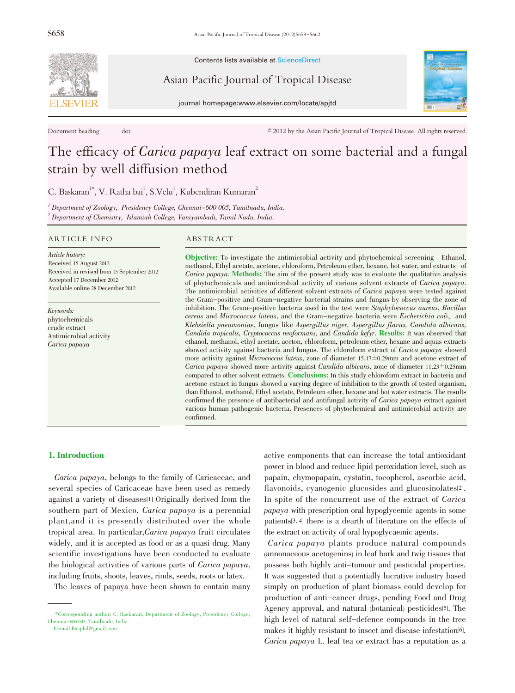

Contents lists available at ScienceDirect

Asian Pacific Journal of Tropical Disease



journal homepage:www.elsevier.com/locate/apjtd

Document heading doi: doi:  $@{2012}$  by the Asian Pacific Journal of Tropical Disease. All rights reserved.

# The efficacy of *Carica papaya* leaf extract on some bacterial and a fungal strain by well diffusion method

C. Baskaran<sup>1\*</sup>, V. Ratha bai<sup>1</sup>, S.Velu<sup>1</sup>, Kubendiran Kumaran<sup>2</sup>

<sup>1</sup> Department of Zoology, Presidency College, Chennai–600 005, Tamilnadu, India. <sup>2</sup> Department of Chemistry, Islamiah College, Vaniyambadi, Tamil Nadu. India.

#### ARTICLE INFO ABSTRACT

Article history: Received 15 August 2012 Received in revised from 15 September 2012 Accepted 17 December 2012 Available online 28 December 2012

Keywords: phytochemicals crude extract Antimicrobial activity Carica papaya

Objective: To investigate the antimicrobial activity and phytochemical screening Ethanol, methanol, Ethyl acetate, acetone, chloroform, Petroleum ether, hexane, hot water, and extracts of Carica papaya. Methods: The aim of the present study was to evaluate the qualitative analysis of phytochemicals and antimicrobial activity of various solvent extracts of Carica papaya. The antimicrobial activities of different solvent extracts of *Carica papaya* were tested against the Gram-positive and Gram-negative bacterial strains and fungus by observing the zone of inhibition. The Gram-positive bacteria used in the test were Staphylococcus aureus, Bacillus cereus and Micrococcus luteus, and the Gram-negative bacteria were Escherichia coli, and Klebsiella pneumoniae, fungus like Aspergillus niger, Aspergillus flavus, Candida albicans, Candida tropicalis, Cryptococcus neoformans, and Candida kefyr. Results: It was observed that ethanol, methanol, ethyl acetate, aceton, chloroform, petroleum ether, hexane and aquas extracts showed activity against bacteria and fungus. The chloroform extract of Carica papaya showed more activity against Micrococcus luteus, zone of diameter 15.17±0.29mm and acetone extract of *Carica papaya* showed more activity against *Candida albicans*, zone of diameter  $11.23 \pm 0.25$ mm compared to other solvent extracts. Conclusions: In this study chloroform extract in bacteria and acetone extract in fungus showed a varying degree of inhibition to the growth of tested organism, than Ethanol, methanol, Ethyl acetate, Petroleum ether, hexane and hot water extracts. The results confirmed the presence of antibacterial and antifungal activity of Carica papaya extract against various human pathogenic bacteria. Presences of phytochemical and antimicrobial activity are confirmed.

# 1. Introduction

Carica papaya, belongs to the family of Caricaceae, and several species of Caricaceae have been used as remedy against a variety of diseases[1] Originally derived from the southern part of Mexico, Carica papaya is a perennial plant,and it is presently distributed over the whole tropical area. In particular,Carica papaya fruit circulates widely, and it is accepted as food or as a quasi drug. Many scientific investigations have been conducted to evaluate the biological activities of various parts of Carica papaya, including fruits, shoots, leaves, rinds, seeds, roots or latex.

The leaves of papaya have been shown to contain many

active components that can increase the total antioxidant power in blood and reduce lipid peroxidation level, such as papain, chymopapain, cystatin, tocopherol, ascorbic acid, flavonoids, cyanogenic glucosides and glucosinolates[2]. In spite of the concurrent use of the extract of Carica papaya with prescription oral hypoglycemic agents in some patients[3, 4] there is a dearth of literature on the effects of the extract on activity of oral hypoglycaemic agents.

Carica papaya plants produce natural compounds (annonaceous acetogenins) in leaf bark and twig tissues that possess both highly anti-tumour and pesticidal properties. It was suggested that a potentially lucrative industry based simply on production of plant biomass could develop for production of anti-cancer drugs, pending Food and Drug Agency approval, and natural (botanical) pesticides[5]. The high level of natural self-defence compounds in the tree makes it highly resistant to insect and disease infestation[6]. Carica papaya L. leaf tea or extract has a reputation as a

<sup>\*</sup>Corresponding author: C. Baskaran, Department of Zoology, Presidency College, Chennai-600 005, Tamilnadu, India. E-mail:Basphd@gmail.com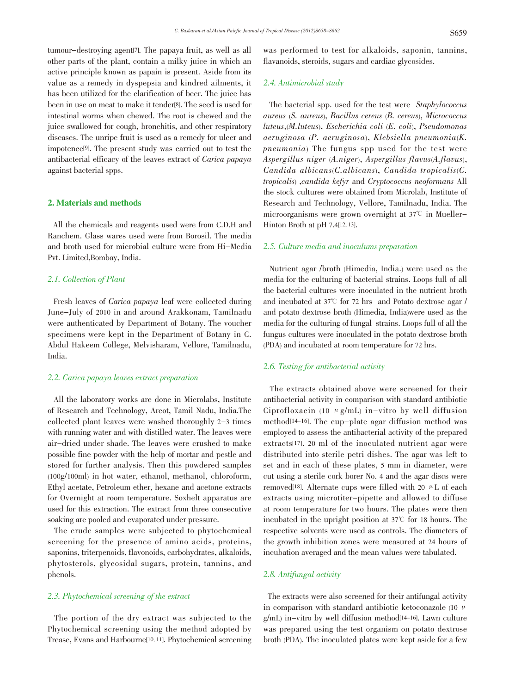tumour-destroying agent[7]. The papaya fruit, as well as all other parts of the plant, contain a milky juice in which an active principle known as papain is present. Aside from its value as a remedy in dyspepsia and kindred ailments, it has been utilized for the clarification of beer. The juice has been in use on meat to make it tender[8]. The seed is used for intestinal worms when chewed. The root is chewed and the juice swallowed for cough, bronchitis, and other respiratory diseases. The unripe fruit is used as a remedy for ulcer and impotence[9]. The present study was carried out to test the antibacterial efficacy of the leaves extract of Carica papaya against bacterial spps.

#### 2. Materials and methods

All the chemicals and reagents used were from C.D.H and Ranchem. Glass wares used were from Borosil. The media and broth used for microbial culture were from Hi-Media Pvt. Limited,Bombay, India.

### 2.1. Collection of Plant

Fresh leaves of Carica papaya leaf were collected during June-July of 2010 in and around Arakkonam, Tamilnadu were authenticated by Department of Botany. The voucher specimens were kept in the Department of Botany in C. Abdul Hakeem College, Melvisharam, Vellore, Tamilnadu, India.

#### 2.2. Carica papaya leaves extract preparation

All the laboratory works are done in Microlabs, Institute of Research and Technology, Arcot, Tamil Nadu, India.The collected plant leaves were washed thoroughly 2-3 times with running water and with distilled water. The leaves were air-dried under shade. The leaves were crushed to make possible fine powder with the help of mortar and pestle and stored for further analysis. Then this powdered samples (100g/100ml) in hot water, ethanol, methanol, chloroform, Ethyl acetate, Petroleum ether, hexane and acetone extracts for Overnight at room temperature. Soxhelt apparatus are used for this extraction. The extract from three consecutive soaking are pooled and evaporated under pressure.

The crude samples were subjected to phytochemical screening for the presence of amino acids, proteins, saponins, triterpenoids, flavonoids, carbohydrates, alkaloids, phytosterols, glycosidal sugars, protein, tannins, and phenols.

# 2.3. Phytochemical screening of the extract

The portion of the dry extract was subjected to the Phytochemical screening using the method adopted by Trease, Evans and Harbourne[10, 11]. Phytochemical screening was performed to test for alkaloids, saponin, tannins, flavanoids, steroids, sugars and cardiac glycosides.

#### 2.4. Antimicrobial study

The bacterial spp. used for the test were Staphylococcus aureus (S. aureus), Bacillus cereus (B. cereus), Micrococcus luteus,(M.luteus), Escherichia coli (E. coli), Pseudomonas aeruginosa (P. aeruginosa), Klebsiella pneumonia(K. pneumonia) The fungus spp used for the test were Aspergillus niger (A.niger), Aspergillus flavus(A.flavus), Candida albicans(C.albicans), Candida tropicalis(C. tropicalis) ,candida kefyr and Cryptococcus neoformans All the stock cultures were obtained from Microlab, Institute of Research and Technology, Vellore, Tamilnadu, India. The microorganisms were grown overnight at  $37^{\circ}$  in Mueller-Hinton Broth at pH 7.4[12, 13].

#### 2.5. Culture media and inoculums preparation

Nutrient agar /broth (Himedia, India.) were used as the media for the culturing of bacterial strains. Loops full of all the bacterial cultures were inoculated in the nutrient broth and incubated at  $37^\circ$  for 72 hrs and Potato dextrose agar / and potato dextrose broth (Himedia, India)were used as the media for the culturing of fungal strains. Loops full of all the fungus cultures were inoculated in the potato dextrose broth (PDA) and incubated at room temperature for 72 hrs.

#### 2.6. Testing for antibacterial activity

The extracts obtained above were screened for their antibacterial activity in comparison with standard antibiotic Ciprofloxacin (10  $\mu$  g/mL) in-vitro by well diffusion method<sup>[14-16]</sup>. The cup-plate agar diffusion method was employed to assess the antibacterial activity of the prepared extracts[17]. 20 ml of the inoculated nutrient agar were distributed into sterile petri dishes. The agar was left to set and in each of these plates, 5 mm in diameter, were cut using a sterile cork borer No. 4 and the agar discs were removed<sup>[18]</sup>. Alternate cups were filled with 20  $\mu$ L of each extracts using microtiter-pipette and allowed to diffuse at room temperature for two hours. The plates were then incubated in the upright position at  $37^{\circ}$  for 18 hours. The respective solvents were used as controls. The diameters of the growth inhibition zones were measured at 24 hours of incubation averaged and the mean values were tabulated.

# 2.8. Antifungal activity

The extracts were also screened for their antifungal activity in comparison with standard antibiotic ketoconazole (10  $\mu$ )  $g/mL$ ) in-vitro by well diffusion method<sup>[14-16]</sup>. Lawn culture was prepared using the test organism on potato dextrose broth (PDA). The inoculated plates were kept aside for a few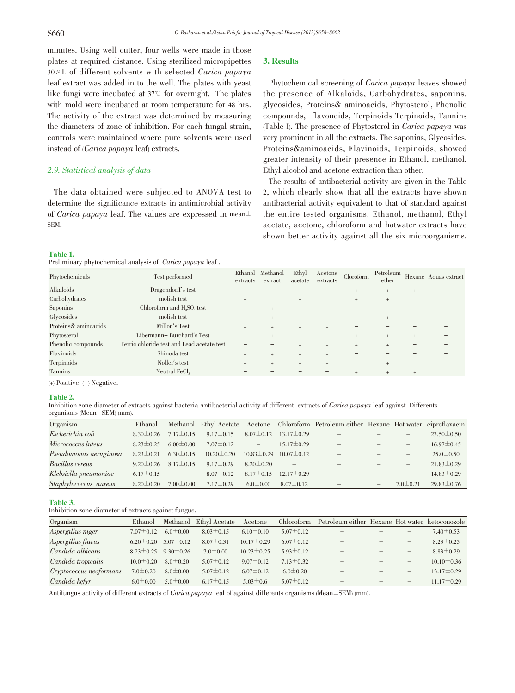minutes. Using well cutter, four wells were made in those plates at required distance. Using sterilized micropipettes  $30 \mu L$  of different solvents with selected Carica papaya leaf extract was added in to the well. The plates with yeast like fungi were incubated at  $37^{\circ}$  for overnight. The plates with mold were incubated at room temperature for 48 hrs. The activity of the extract was determined by measuring the diameters of zone of inhibition. For each fungal strain, controls were maintained where pure solvents were used instead of (Carica papaya leaf) extracts.

# 2.9. Statistical analysis of data

The data obtained were subjected to ANOVA test to determine the significance extracts in antimicrobial activity of *Carica papaya* leaf. The values are expressed in mean $\pm$ SEM,

### 3. Results

Phytochemical screening of Carica papaya leaves showed the presence of Alkaloids, Carbohydrates, saponins, glycosides, Proteins& aminoacids, Phytosterol, Phenolic compounds, flavonoids, Terpinoids Terpinoids, Tannins (Table I). The presence of Phytosterol in Carica papaya was very prominent in all the extracts. The saponins, Glycosides, Proteins&aminoacids, Flavinoids, Terpinoids, showed greater intensity of their presence in Ethanol, methanol, Ethyl alcohol and acetone extraction than other.

The results of antibacterial activity are given in the Table 2, which clearly show that all the extracts have shown antibacterial activity equivalent to that of standard against the entire tested organisms. Ethanol, methanol, Ethyl acetate, acetone, chloroform and hotwater extracts have shown better activity against all the six microorganisms.

#### Table 1.

Preliminary phytochemical analysis of Carica papaya leaf .

| Phytochemicals       | Test performed                             | Ethanol<br>extracts | Methanol<br>extract | Ethyl<br>acetate | Acetone<br>extracts | Cloroform | Petroleum<br>ether |     | Hexane Aquas extract |
|----------------------|--------------------------------------------|---------------------|---------------------|------------------|---------------------|-----------|--------------------|-----|----------------------|
| Alkaloids            | Dragendorff's test                         |                     | -                   |                  | $+$                 | $+$       | $+$                | $+$ | $+$                  |
| Carbohydrates        | molish test                                | $+$                 |                     | $+$              |                     | $+$       | $+$                |     |                      |
| Saponins             | Chloroform and $H2SO4$ test                | $\ddot{}$           | $+$                 | $+$              | $+$                 |           |                    |     |                      |
| Glycosides           | molish test                                |                     | $^{+}$              |                  | $+$                 |           |                    |     |                      |
| Proteins& aminoacids | Millon's Test                              |                     | $^{+}$              |                  | $+$                 |           |                    |     |                      |
| Phytosterol          | Libermann-Burchard's Test                  | $+$                 | $+$                 | $+$              | $+$                 | $+$       | $+$                | $+$ |                      |
| Phenolic compounds   | Ferric chloride test and Lead acetate test |                     |                     |                  | $+$                 | $+$       |                    |     |                      |
| Flavinoids           | Shinoda test                               |                     | $^{+}$              | $+$              | $+$                 |           |                    |     |                      |
| Terpinoids           | Noller's test                              |                     | $^{+}$              | $+$              | $+$                 |           |                    |     |                      |
| Tannins              | Neutral FeCl,                              |                     |                     |                  |                     | $+$       |                    | $+$ |                      |

 $(+)$  Positive  $(-)$  Negative.

#### Table 2.

Inhibition zone diameter of extracts against bacteria.Antibacterial activity of different extracts of Carica papaya leaf against Differents organisms (Mean $\pm$ SEM) (mm).

| Organism               | Ethanol         |                 |                  |                 |                                   | Methanol Ethyl Acetate Acetone Chloroform Petroleum either Hexane Hot water ciproflaxacin |                                         |                  |
|------------------------|-----------------|-----------------|------------------|-----------------|-----------------------------------|-------------------------------------------------------------------------------------------|-----------------------------------------|------------------|
| Escherichia coli       | $8.30 \pm 0.26$ | $7.17 \pm 0.15$ | $9.17 \pm 0.15$  | $8.07 \pm 0.12$ | $13.17 \pm 0.29$                  | $\overline{\phantom{0}}$                                                                  |                                         | 23.50 $\pm$ 0.50 |
| Micrococcus luteus     | $8.23 \pm 0.25$ | $6.00 \pm 0.00$ | $7.07 \pm 0.12$  | $\sim$ $-$      | $15.17 \pm 0.29$                  | $\qquad \qquad -$                                                                         | -                                       | $16.97 \pm 0.45$ |
| Pseudomonas aeruginosa | $8.23 \pm 0.21$ | $6.30 \pm 0.15$ | $10.20 \pm 0.20$ |                 | $10.83 \pm 0.29$ $10.07 \pm 0.12$ |                                                                                           | $\overline{\phantom{0}}$                | $25.0 \pm 0.50$  |
| <b>Bacillus cereus</b> | $9.20 \pm 0.26$ | $8.17 \pm 0.15$ | $9.17 \pm 0.29$  | $8.20 \pm 0.20$ | $\hspace{0.1mm}-\hspace{0.1mm}$   |                                                                                           | —                                       | $21.83 \pm 0.29$ |
| Klebsiella pneumoniae  | $6.17 \pm 0.15$ | $\sim$          | $8.07 \pm 0.12$  | $8.17 \pm 0.15$ | $12.17 \pm 0.29$                  | $\overline{\phantom{m}}$                                                                  | $\qquad \qquad \  \  \, -\qquad \qquad$ | $14.83 \pm 0.29$ |
| Staphylococcus aureus  | $8.20 \pm 0.20$ | $7.00 \pm 0.00$ | $7.17 \pm 0.29$  | $6.0 \pm 0.00$  | $8.07 \pm 0.12$                   | $\qquad \qquad -$                                                                         | $7.0 \pm 0.21$                          | $29.83 \pm 0.76$ |

#### Table 3.

Inhibition zone diameter of extracts against fungus.

| Organism                | Ethanol         | Methanol        | Ethyl Acetate   | Acetone          | Chloroform      | Petroleum either Hexane Hot water ketoconozole |                          |                          |                  |
|-------------------------|-----------------|-----------------|-----------------|------------------|-----------------|------------------------------------------------|--------------------------|--------------------------|------------------|
| Aspergillus niger       | $7.07 \pm 0.12$ | $6.0 \pm 0.00$  | $8.03 \pm 0.15$ | $6.10 \pm 0.10$  | $5.07 \pm 0.12$ | $\qquad \qquad -$                              |                          | $\qquad \qquad -$        | $7.40 \pm 0.53$  |
| Aspergillus flavus      | $6.20 \pm 0.20$ | $5.07 \pm 0.12$ | $8.07 \pm 0.31$ | $10.17 \pm 0.29$ | $6.07 \pm 0.12$ | $\overline{\phantom{m}}$                       | $-$                      | $\qquad \qquad -$        | $8.23 \pm 0.25$  |
| Candida albicans        | $8.23 \pm 0.25$ | $9.30 \pm 0.26$ | $7.0 \pm 0.00$  | $10.23 \pm 0.25$ | $5.93 \pm 0.12$ | $\overline{\phantom{m}}$                       |                          | $\qquad \qquad -$        | $8.83 \pm 0.29$  |
| Candida tropicalis      | $10.0 \pm 0.20$ | $8.0 \pm 0.20$  | $5.07 \pm 0.12$ | $9.07 \pm 0.12$  | $7.13 \pm 0.32$ | $\overline{\phantom{m}}$                       |                          | $\overline{\phantom{0}}$ | $10.10 \pm 0.36$ |
| Cryptococcus neoformans | $7.0 \pm 0.20$  | $8.0 \pm 0.00$  | $5.07 \pm 0.12$ | $6.07 \pm 0.12$  | $6.0 \pm 0.20$  | $\overline{\phantom{0}}$                       | -                        | $\qquad \qquad -$        | $13.17 \pm 0.29$ |
| Candida kefyr           | $6.0 \pm 0.00$  | $5.0 \pm 0.00$  | $6.17 \pm 0.15$ | $5.03 \pm 0.6$   | $5.07 \pm 0.12$ | $\qquad \qquad -$                              | $\overline{\phantom{0}}$ | $\qquad \qquad -$        | $11.17 \pm 0.29$ |

Antifungus activity of different extracts of *Carica papaya* leaf of against differents organisms (Mean $\pm$ SEM) (mm).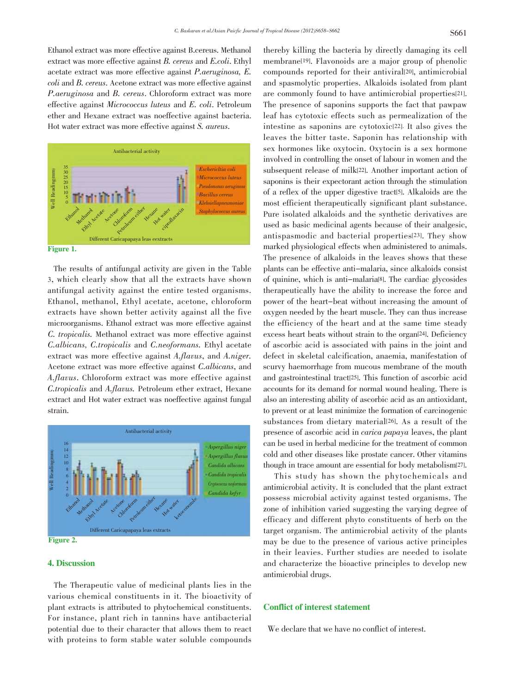Ethanol extract was more effective against B.cereus. Methanol extract was more effective against B. cereus and E.coli. Ethyl acetate extract was more effective against P.aeruginosa, E. coli and B. cereus. Acetone extract was more effective against P.aeruginosa and B. cereus. Chloroform extract was more effective against Micrococcus luteus and E. coli. Petroleum ether and Hexane extract was noeffective against bacteria. Hot water extract was more effective against S. aureus.





The results of antifungal activity are given in the Table 3, which clearly show that all the extracts have shown antifungal activity against the entire tested organisms. Ethanol, methanol, Ethyl acetate, acetone, chloroform extracts have shown better activity against all the five microorganisms. Ethanol extract was more effective against C. tropicalis. Methanol extract was more effective against C.albicans, C.tropicalis and C.neoformans. Ethyl acetate extract was more effective against A.flavus, and A.niger. Acetone extract was more effective against C.albicans, and A.flavus. Chloroform extract was more effective against C.tropicalis and A.flavus. Petroleum ether extract, Hexane extract and Hot water extract was noeffective against fungal strain.



#### 4. Discussion

The Therapeutic value of medicinal plants lies in the various chemical constituents in it. The bioactivity of plant extracts is attributed to phytochemical constituents. For instance, plant rich in tannins have antibacterial potential due to their character that allows them to react with proteins to form stable water soluble compounds

thereby killing the bacteria by directly damaging its cell membrane[19]. Flavonoids are a major group of phenolic compounds reported for their antiviral[20], antimicrobial and spasmolytic properties. Alkaloids isolated from plant are commonly found to have antimicrobial properties[21]. The presence of saponins supports the fact that pawpaw leaf has cytotoxic effects such as permealization of the intestine as saponins are cytotoxic<sup>[22]</sup>. It also gives the leaves the bitter taste. Saponin has relationship with sex hormones like oxytocin. Oxytocin is a sex hormone involved in controlling the onset of labour in women and the subsequent release of milk[22]. Another important action of saponins is their expectorant action through the stimulation of a reflex of the upper digestive tract[5]. Alkaloids are the most efficient therapeutically significant plant substance. Pure isolated alkaloids and the synthetic derivatives are used as basic medicinal agents because of their analgesic, antispasmodic and bacterial properties[23]. They show marked physiological effects when administered to animals. The presence of alkaloids in the leaves shows that these plants can be effective anti-malaria, since alkaloids consist of quinine, which is anti-malaria[8]. The cardiac glycosides therapeutically have the ability to increase the force and power of the heart-beat without increasing the amount of oxygen needed by the heart muscle. They can thus increase the efficiency of the heart and at the same time steady excess heart beats without strain to the organ[24]. Deficiency of ascorbic acid is associated with pains in the joint and defect in skeletal calcification, anaemia, manifestation of scurvy haemorrhage from mucous membrane of the mouth and gastrointestinal tract[25]. This function of ascorbic acid accounts for its demand for normal wound healing. There is also an interesting ability of ascorbic acid as an antioxidant, to prevent or at least minimize the formation of carcinogenic substances from dietary material[26]. As a result of the presence of ascorbic acid in carica papaya leaves, the plant can be used in herbal medicine for the treatment of common cold and other diseases like prostate cancer. Other vitamins though in trace amount are essential for body metabolism[27].

This study has shown the phytochemicals and antimicrobial activity. It is concluded that the plant extract possess microbial activity against tested organisms. The zone of inhibition varied suggesting the varying degree of efficacy and different phyto constituents of herb on the target organism. The antimicrobial activity of the plants may be due to the presence of various active principles in their leavies. Further studies are needed to isolate and characterize the bioactive principles to develop new antimicrobial drugs.

# Conflict of interest statement

We declare that we have no conflict of interest.